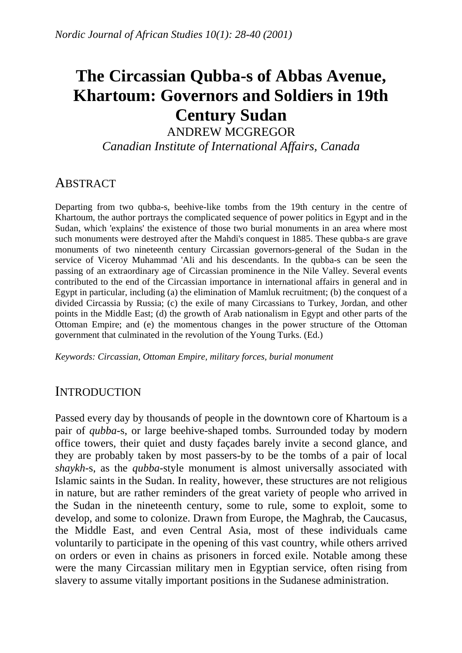# **The Circassian Qubba-s of Abbas Avenue, Khartoum: Governors and Soldiers in 19th Century Sudan**

ANDREW MCGREGOR

*Canadian Institute of International Affairs, Canada* 

# **ABSTRACT**

Departing from two qubba-s, beehive-like tombs from the 19th century in the centre of Khartoum, the author portrays the complicated sequence of power politics in Egypt and in the Sudan, which 'explains' the existence of those two burial monuments in an area where most such monuments were destroyed after the Mahdi's conquest in 1885. These qubba-s are grave monuments of two nineteenth century Circassian governors-general of the Sudan in the service of Viceroy Muhammad 'Ali and his descendants. In the qubba-s can be seen the passing of an extraordinary age of Circassian prominence in the Nile Valley. Several events contributed to the end of the Circassian importance in international affairs in general and in Egypt in particular, including (a) the elimination of Mamluk recruitment; (b) the conquest of a divided Circassia by Russia; (c) the exile of many Circassians to Turkey, Jordan, and other points in the Middle East; (d) the growth of Arab nationalism in Egypt and other parts of the Ottoman Empire; and (e) the momentous changes in the power structure of the Ottoman government that culminated in the revolution of the Young Turks. (Ed.)

*Keywords: Circassian, Ottoman Empire, military forces, burial monument* 

# **INTRODUCTION**

Passed every day by thousands of people in the downtown core of Khartoum is a pair of *qubba*-s, or large beehive-shaped tombs. Surrounded today by modern office towers, their quiet and dusty façades barely invite a second glance, and they are probably taken by most passers-by to be the tombs of a pair of local *shaykh*-s, as the *qubba*-style monument is almost universally associated with Islamic saints in the Sudan. In reality, however, these structures are not religious in nature, but are rather reminders of the great variety of people who arrived in the Sudan in the nineteenth century, some to rule, some to exploit, some to develop, and some to colonize. Drawn from Europe, the Maghrab, the Caucasus, the Middle East, and even Central Asia, most of these individuals came voluntarily to participate in the opening of this vast country, while others arrived on orders or even in chains as prisoners in forced exile. Notable among these were the many Circassian military men in Egyptian service, often rising from slavery to assume vitally important positions in the Sudanese administration.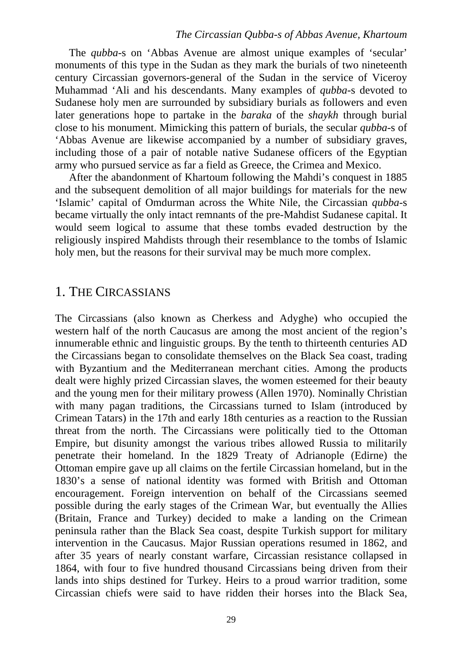The *qubba*-s on 'Abbas Avenue are almost unique examples of 'secular' monuments of this type in the Sudan as they mark the burials of two nineteenth century Circassian governors-general of the Sudan in the service of Viceroy Muhammad 'Ali and his descendants. Many examples of *qubba*-s devoted to Sudanese holy men are surrounded by subsidiary burials as followers and even later generations hope to partake in the *baraka* of the *shaykh* through burial close to his monument. Mimicking this pattern of burials, the secular *qubba*-s of 'Abbas Avenue are likewise accompanied by a number of subsidiary graves, including those of a pair of notable native Sudanese officers of the Egyptian army who pursued service as far a field as Greece, the Crimea and Mexico.

After the abandonment of Khartoum following the Mahdi's conquest in 1885 and the subsequent demolition of all major buildings for materials for the new 'Islamic' capital of Omdurman across the White Nile, the Circassian *qubba*-s became virtually the only intact remnants of the pre-Mahdist Sudanese capital. It would seem logical to assume that these tombs evaded destruction by the religiously inspired Mahdists through their resemblance to the tombs of Islamic holy men, but the reasons for their survival may be much more complex.

### 1. THE CIRCASSIANS

The Circassians (also known as Cherkess and Adyghe) who occupied the western half of the north Caucasus are among the most ancient of the region's innumerable ethnic and linguistic groups. By the tenth to thirteenth centuries AD the Circassians began to consolidate themselves on the Black Sea coast, trading with Byzantium and the Mediterranean merchant cities. Among the products dealt were highly prized Circassian slaves, the women esteemed for their beauty and the young men for their military prowess (Allen 1970). Nominally Christian with many pagan traditions, the Circassians turned to Islam (introduced by Crimean Tatars) in the 17th and early 18th centuries as a reaction to the Russian threat from the north. The Circassians were politically tied to the Ottoman Empire, but disunity amongst the various tribes allowed Russia to militarily penetrate their homeland. In the 1829 Treaty of Adrianople (Edirne) the Ottoman empire gave up all claims on the fertile Circassian homeland, but in the 1830's a sense of national identity was formed with British and Ottoman encouragement. Foreign intervention on behalf of the Circassians seemed possible during the early stages of the Crimean War, but eventually the Allies (Britain, France and Turkey) decided to make a landing on the Crimean peninsula rather than the Black Sea coast, despite Turkish support for military intervention in the Caucasus. Major Russian operations resumed in 1862, and after 35 years of nearly constant warfare, Circassian resistance collapsed in 1864, with four to five hundred thousand Circassians being driven from their lands into ships destined for Turkey. Heirs to a proud warrior tradition, some Circassian chiefs were said to have ridden their horses into the Black Sea,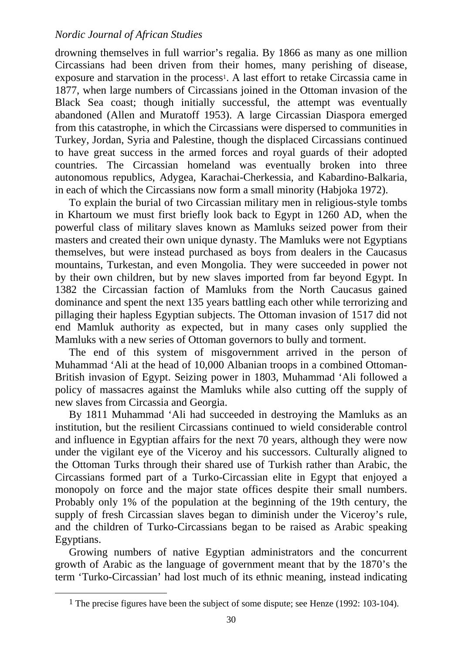drowning themselves in full warrior's regalia. By 1866 as many as one million Circassians had been driven from their homes, many perishing of disease, exposure and starvation in the process<sup>1</sup>. A last effort to retake Circassia came in 1877, when large numbers of Circassians joined in the Ottoman invasion of the Black Sea coast; though initially successful, the attempt was eventually abandoned (Allen and Muratoff 1953). A large Circassian Diaspora emerged from this catastrophe, in which the Circassians were dispersed to communities in Turkey, Jordan, Syria and Palestine, though the displaced Circassians continued to have great success in the armed forces and royal guards of their adopted countries. The Circassian homeland was eventually broken into three autonomous republics, Adygea, Karachai-Cherkessia, and Kabardino-Balkaria, in each of which the Circassians now form a small minority (Habjoka 1972).

To explain the burial of two Circassian military men in religious-style tombs in Khartoum we must first briefly look back to Egypt in 1260 AD, when the powerful class of military slaves known as Mamluks seized power from their masters and created their own unique dynasty. The Mamluks were not Egyptians themselves, but were instead purchased as boys from dealers in the Caucasus mountains, Turkestan, and even Mongolia. They were succeeded in power not by their own children, but by new slaves imported from far beyond Egypt. In 1382 the Circassian faction of Mamluks from the North Caucasus gained dominance and spent the next 135 years battling each other while terrorizing and pillaging their hapless Egyptian subjects. The Ottoman invasion of 1517 did not end Mamluk authority as expected, but in many cases only supplied the Mamluks with a new series of Ottoman governors to bully and torment.

The end of this system of misgovernment arrived in the person of Muhammad 'Ali at the head of 10,000 Albanian troops in a combined Ottoman-British invasion of Egypt. Seizing power in 1803, Muhammad 'Ali followed a policy of massacres against the Mamluks while also cutting off the supply of new slaves from Circassia and Georgia.

By 1811 Muhammad 'Ali had succeeded in destroying the Mamluks as an institution, but the resilient Circassians continued to wield considerable control and influence in Egyptian affairs for the next 70 years, although they were now under the vigilant eye of the Viceroy and his successors. Culturally aligned to the Ottoman Turks through their shared use of Turkish rather than Arabic, the Circassians formed part of a Turko-Circassian elite in Egypt that enjoyed a monopoly on force and the major state offices despite their small numbers. Probably only 1% of the population at the beginning of the 19th century, the supply of fresh Circassian slaves began to diminish under the Viceroy's rule, and the children of Turko-Circassians began to be raised as Arabic speaking Egyptians.

Growing numbers of native Egyptian administrators and the concurrent growth of Arabic as the language of government meant that by the 1870's the term 'Turko-Circassian' had lost much of its ethnic meaning, instead indicating

<span id="page-2-0"></span><sup>&</sup>lt;sup>1</sup> The precise figures have been the subject of some dispute; see Henze (1992: 103-104).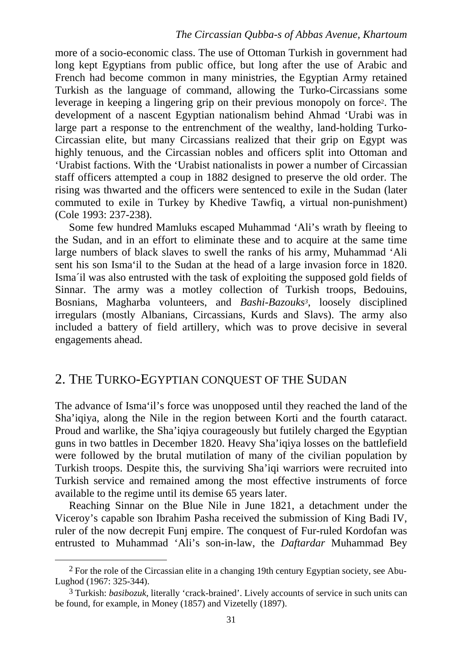more of a socio-economic class. The use of Ottoman Turkish in government had long kept Egyptians from public office, but long after the use of Arabic and French had become common in many ministries, the Egyptian Army retained Turkish as the language of command, allowing the Turko-Circassians some leverage in keeping a lingering grip on their previous monopoly on force[2.](#page-3-0) The development of a nascent Egyptian nationalism behind Ahmad 'Urabi was in large part a response to the entrenchment of the wealthy, land-holding Turko-Circassian elite, but many Circassians realized that their grip on Egypt was highly tenuous, and the Circassian nobles and officers split into Ottoman and 'Urabist factions. With the 'Urabist nationalists in power a number of Circassian staff officers attempted a coup in 1882 designed to preserve the old order. The rising was thwarted and the officers were sentenced to exile in the Sudan (later commuted to exile in Turkey by Khedive Tawfiq, a virtual non-punishment) (Cole 1993: 237-238).

Some few hundred Mamluks escaped Muhammad 'Ali's wrath by fleeing to the Sudan, and in an effort to eliminate these and to acquire at the same time large numbers of black slaves to swell the ranks of his army, Muhammad 'Ali sent his son Isma'il to the Sudan at the head of a large invasion force in 1820. Isma´il was also entrusted with the task of exploiting the supposed gold fields of Sinnar. The army was a motley collection of Turkish troops, Bedouins, Bosnians, Magharba volunteers, and *Bashi*-*Bazouks[3](#page-3-1)*, loosely disciplined irregulars (mostly Albanians, Circassians, Kurds and Slavs). The army also included a battery of field artillery, which was to prove decisive in several engagements ahead.

# 2. THE TURKO-EGYPTIAN CONQUEST OF THE SUDAN

The advance of Isma'il's force was unopposed until they reached the land of the Sha'iqiya, along the Nile in the region between Korti and the fourth cataract. Proud and warlike, the Sha'iqiya courageously but futilely charged the Egyptian guns in two battles in December 1820. Heavy Sha'iqiya losses on the battlefield were followed by the brutal mutilation of many of the civilian population by Turkish troops. Despite this, the surviving Sha'iqi warriors were recruited into Turkish service and remained among the most effective instruments of force available to the regime until its demise 65 years later.

Reaching Sinnar on the Blue Nile in June 1821, a detachment under the Viceroy's capable son Ibrahim Pasha received the submission of King Badi IV, ruler of the now decrepit Funj empire. The conquest of Fur-ruled Kordofan was entrusted to Muhammad 'Ali's son-in-law, the *Daftardar* Muhammad Bey

<span id="page-3-0"></span> <sup>2</sup> For the role of the Circassian elite in a changing 19th century Egyptian society, see Abu-Lughod (1967: 325-344).

<span id="page-3-1"></span><sup>3</sup> Turkish: *basibozuk*, literally 'crack-brained'. Lively accounts of service in such units can be found, for example, in Money (1857) and Vizetelly (1897).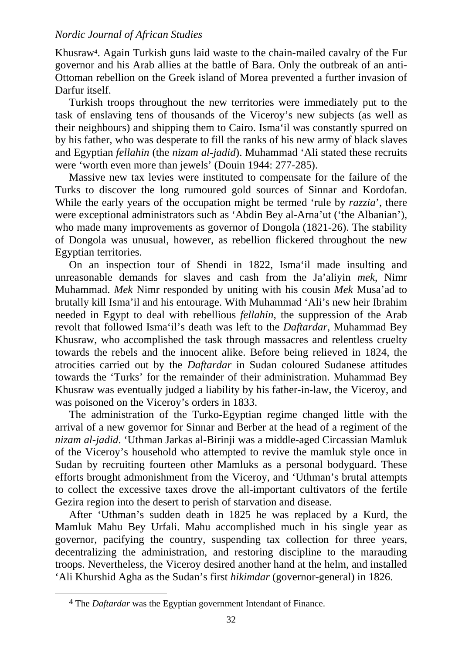Khusraw[4.](#page-4-0) Again Turkish guns laid waste to the chain-mailed cavalry of the Fur governor and his Arab allies at the battle of Bara. Only the outbreak of an anti-Ottoman rebellion on the Greek island of Morea prevented a further invasion of Darfur itself.

Turkish troops throughout the new territories were immediately put to the task of enslaving tens of thousands of the Viceroy's new subjects (as well as their neighbours) and shipping them to Cairo. Isma'il was constantly spurred on by his father, who was desperate to fill the ranks of his new army of black slaves and Egyptian *fellahin* (the *nizam al-jadid*). Muhammad 'Ali stated these recruits were 'worth even more than jewels' (Douin 1944: 277-285).

Massive new tax levies were instituted to compensate for the failure of the Turks to discover the long rumoured gold sources of Sinnar and Kordofan. While the early years of the occupation might be termed 'rule by *razzia*', there were exceptional administrators such as 'Abdin Bey al-Arna'ut ('the Albanian'), who made many improvements as governor of Dongola (1821-26). The stability of Dongola was unusual, however, as rebellion flickered throughout the new Egyptian territories.

On an inspection tour of Shendi in 1822, Isma'il made insulting and unreasonable demands for slaves and cash from the Ja'aliyin *mek*, Nimr Muhammad. *Mek* Nimr responded by uniting with his cousin *Mek* Musa'ad to brutally kill Isma'il and his entourage. With Muhammad 'Ali's new heir Ibrahim needed in Egypt to deal with rebellious *fellahin*, the suppression of the Arab revolt that followed Isma'il's death was left to the *Daftardar,* Muhammad Bey Khusraw, who accomplished the task through massacres and relentless cruelty towards the rebels and the innocent alike. Before being relieved in 1824, the atrocities carried out by the *Daftardar* in Sudan coloured Sudanese attitudes towards the 'Turks' for the remainder of their administration. Muhammad Bey Khusraw was eventually judged a liability by his father-in-law, the Viceroy, and was poisoned on the Viceroy's orders in 1833.

The administration of the Turko-Egyptian regime changed little with the arrival of a new governor for Sinnar and Berber at the head of a regiment of the *nizam al-jadid*. 'Uthman Jarkas al-Birinji was a middle-aged Circassian Mamluk of the Viceroy's household who attempted to revive the mamluk style once in Sudan by recruiting fourteen other Mamluks as a personal bodyguard. These efforts brought admonishment from the Viceroy, and 'Uthman's brutal attempts to collect the excessive taxes drove the all-important cultivators of the fertile Gezira region into the desert to perish of starvation and disease.

After 'Uthman's sudden death in 1825 he was replaced by a Kurd, the Mamluk Mahu Bey Urfali. Mahu accomplished much in his single year as governor, pacifying the country, suspending tax collection for three years, decentralizing the administration, and restoring discipline to the marauding troops. Nevertheless, the Viceroy desired another hand at the helm, and installed 'Ali Khurshid Agha as the Sudan's first *hikimdar* (governor-general) in 1826.

<span id="page-4-0"></span> <sup>4</sup> The *Daftardar* was the Egyptian government Intendant of Finance.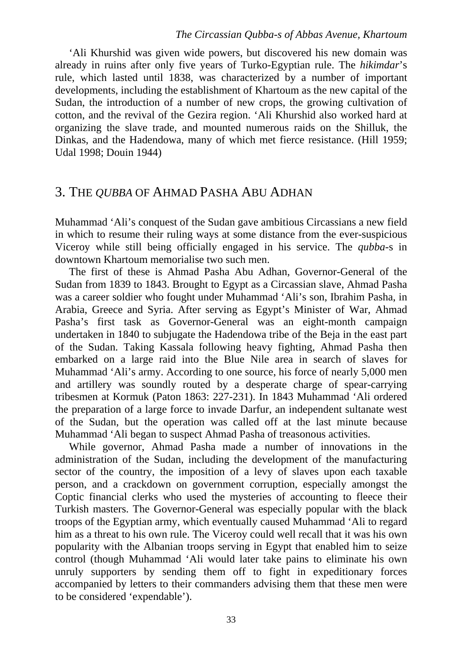'Ali Khurshid was given wide powers, but discovered his new domain was already in ruins after only five years of Turko-Egyptian rule. The *hikimdar*'s rule, which lasted until 1838, was characterized by a number of important developments, including the establishment of Khartoum as the new capital of the Sudan, the introduction of a number of new crops, the growing cultivation of cotton, and the revival of the Gezira region. 'Ali Khurshid also worked hard at organizing the slave trade, and mounted numerous raids on the Shilluk, the Dinkas, and the Hadendowa, many of which met fierce resistance. (Hill 1959; Udal 1998; Douin 1944)

### 3. THE *QUBBA* OF AHMAD PASHA ABU ADHAN

Muhammad 'Ali's conquest of the Sudan gave ambitious Circassians a new field in which to resume their ruling ways at some distance from the ever-suspicious Viceroy while still being officially engaged in his service. The *qubba*-s in downtown Khartoum memorialise two such men.

The first of these is Ahmad Pasha Abu Adhan, Governor-General of the Sudan from 1839 to 1843. Brought to Egypt as a Circassian slave, Ahmad Pasha was a career soldier who fought under Muhammad 'Ali's son, Ibrahim Pasha, in Arabia, Greece and Syria. After serving as Egypt's Minister of War, Ahmad Pasha's first task as Governor-General was an eight-month campaign undertaken in 1840 to subjugate the Hadendowa tribe of the Beja in the east part of the Sudan. Taking Kassala following heavy fighting, Ahmad Pasha then embarked on a large raid into the Blue Nile area in search of slaves for Muhammad 'Ali's army. According to one source, his force of nearly 5,000 men and artillery was soundly routed by a desperate charge of spear-carrying tribesmen at Kormuk (Paton 1863: 227-231). In 1843 Muhammad 'Ali ordered the preparation of a large force to invade Darfur, an independent sultanate west of the Sudan, but the operation was called off at the last minute because Muhammad 'Ali began to suspect Ahmad Pasha of treasonous activities.

While governor, Ahmad Pasha made a number of innovations in the administration of the Sudan, including the development of the manufacturing sector of the country, the imposition of a levy of slaves upon each taxable person, and a crackdown on government corruption, especially amongst the Coptic financial clerks who used the mysteries of accounting to fleece their Turkish masters. The Governor-General was especially popular with the black troops of the Egyptian army, which eventually caused Muhammad 'Ali to regard him as a threat to his own rule. The Viceroy could well recall that it was his own popularity with the Albanian troops serving in Egypt that enabled him to seize control (though Muhammad 'Ali would later take pains to eliminate his own unruly supporters by sending them off to fight in expeditionary forces accompanied by letters to their commanders advising them that these men were to be considered 'expendable').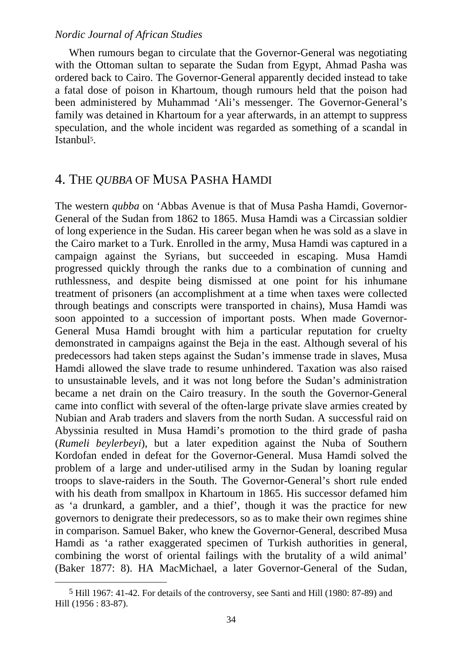When rumours began to circulate that the Governor-General was negotiating with the Ottoman sultan to separate the Sudan from Egypt, Ahmad Pasha was ordered back to Cairo. The Governor-General apparently decided instead to take a fatal dose of poison in Khartoum, though rumours held that the poison had been administered by Muhammad 'Ali's messenger. The Governor-General's family was detained in Khartoum for a year afterwards, in an attempt to suppress speculation, and the whole incident was regarded as something of a scandal in Istanbu[l5.](#page-6-0)

### 4. THE *QUBBA* OF MUSA PASHA HAMDI

The western *qubba* on 'Abbas Avenue is that of Musa Pasha Hamdi, Governor-General of the Sudan from 1862 to 1865. Musa Hamdi was a Circassian soldier of long experience in the Sudan. His career began when he was sold as a slave in the Cairo market to a Turk. Enrolled in the army, Musa Hamdi was captured in a campaign against the Syrians, but succeeded in escaping. Musa Hamdi progressed quickly through the ranks due to a combination of cunning and ruthlessness, and despite being dismissed at one point for his inhumane treatment of prisoners (an accomplishment at a time when taxes were collected through beatings and conscripts were transported in chains), Musa Hamdi was soon appointed to a succession of important posts. When made Governor-General Musa Hamdi brought with him a particular reputation for cruelty demonstrated in campaigns against the Beja in the east. Although several of his predecessors had taken steps against the Sudan's immense trade in slaves, Musa Hamdi allowed the slave trade to resume unhindered. Taxation was also raised to unsustainable levels, and it was not long before the Sudan's administration became a net drain on the Cairo treasury. In the south the Governor-General came into conflict with several of the often-large private slave armies created by Nubian and Arab traders and slavers from the north Sudan. A successful raid on Abyssinia resulted in Musa Hamdi's promotion to the third grade of pasha (*Rumeli beylerbeyi*), but a later expedition against the Nuba of Southern Kordofan ended in defeat for the Governor-General. Musa Hamdi solved the problem of a large and under-utilised army in the Sudan by loaning regular troops to slave-raiders in the South. The Governor-General's short rule ended with his death from smallpox in Khartoum in 1865. His successor defamed him as 'a drunkard, a gambler, and a thief', though it was the practice for new governors to denigrate their predecessors, so as to make their own regimes shine in comparison. Samuel Baker, who knew the Governor-General, described Musa Hamdi as 'a rather exaggerated specimen of Turkish authorities in general, combining the worst of oriental failings with the brutality of a wild animal' (Baker 1877: 8). HA MacMichael, a later Governor-General of the Sudan,

<span id="page-6-0"></span> <sup>5</sup> Hill 1967: 41-42. For details of the controversy, see Santi and Hill (1980: 87-89) and Hill (1956 : 83-87).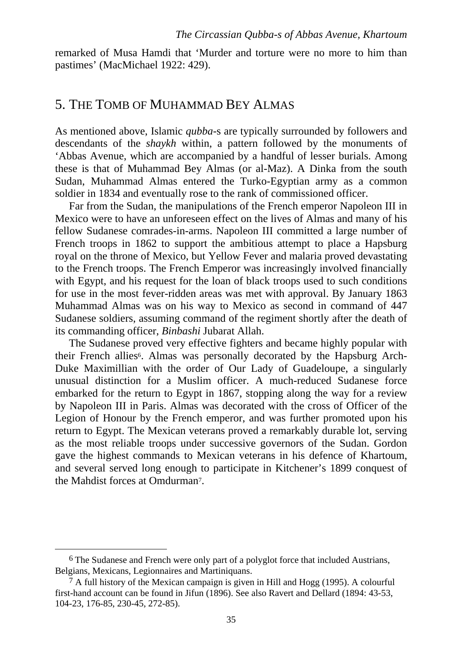remarked of Musa Hamdi that 'Murder and torture were no more to him than pastimes' (MacMichael 1922: 429).

# 5. THE TOMB OF MUHAMMAD BEY ALMAS

As mentioned above, Islamic *qubba*-s are typically surrounded by followers and descendants of the *shaykh* within, a pattern followed by the monuments of 'Abbas Avenue, which are accompanied by a handful of lesser burials. Among these is that of Muhammad Bey Almas (or al-Maz). A Dinka from the south Sudan, Muhammad Almas entered the Turko-Egyptian army as a common soldier in 1834 and eventually rose to the rank of commissioned officer.

Far from the Sudan, the manipulations of the French emperor Napoleon III in Mexico were to have an unforeseen effect on the lives of Almas and many of his fellow Sudanese comrades-in-arms. Napoleon III committed a large number of French troops in 1862 to support the ambitious attempt to place a Hapsburg royal on the throne of Mexico, but Yellow Fever and malaria proved devastating to the French troops. The French Emperor was increasingly involved financially with Egypt, and his request for the loan of black troops used to such conditions for use in the most fever-ridden areas was met with approval. By January 1863 Muhammad Almas was on his way to Mexico as second in command of 447 Sudanese soldiers, assuming command of the regiment shortly after the death of its commanding officer, *Binbashi* Jubarat Allah.

The Sudanese proved very effective fighters and became highly popular with their French allies<sup>6</sup>. Almas was personally decorated by the Hapsburg Arch-Duke Maximillian with the order of Our Lady of Guadeloupe, a singularly unusual distinction for a Muslim officer. A much-reduced Sudanese force embarked for the return to Egypt in 1867, stopping along the way for a review by Napoleon III in Paris. Almas was decorated with the cross of Officer of the Legion of Honour by the French emperor, and was further promoted upon his return to Egypt. The Mexican veterans proved a remarkably durable lot, serving as the most reliable troops under successive governors of the Sudan. Gordon gave the highest commands to Mexican veterans in his defence of Khartoum, and several served long enough to participate in Kitchener's 1899 conquest of the Mahdist forces at Omdurman[7.](#page-7-1)

<span id="page-7-0"></span> <sup>6</sup> The Sudanese and French were only part of a polyglot force that included Austrians, Belgians, Mexicans, Legionnaires and Martiniquans.

<span id="page-7-1"></span> $7$  A full history of the Mexican campaign is given in Hill and Hogg (1995). A colourful first-hand account can be found in Jifun (1896). See also Ravert and Dellard (1894: 43-53, 104-23, 176-85, 230-45, 272-85).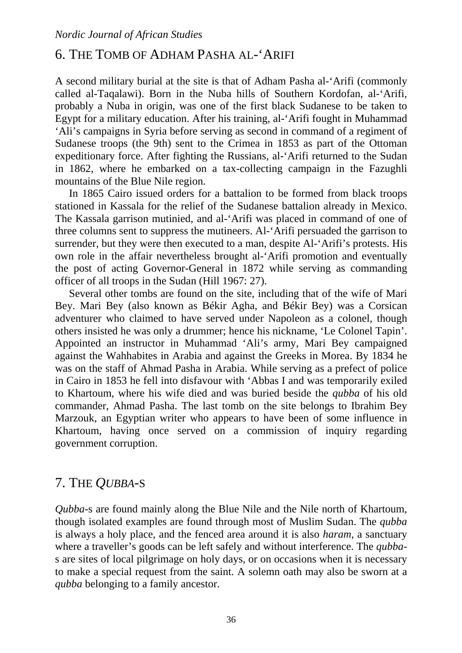# 6. THE TOMB OF ADHAM PASHA AL-'ARIFI

A second military burial at the site is that of Adham Pasha al-'Arifi (commonly called al-Taqalawi). Born in the Nuba hills of Southern Kordofan, al-'Arifi, probably a Nuba in origin, was one of the first black Sudanese to be taken to Egypt for a military education. After his training, al-'Arifi fought in Muhammad 'Ali's campaigns in Syria before serving as second in command of a regiment of Sudanese troops (the 9th) sent to the Crimea in 1853 as part of the Ottoman expeditionary force. After fighting the Russians, al-'Arifi returned to the Sudan in 1862, where he embarked on a tax-collecting campaign in the Fazughli mountains of the Blue Nile region.

In 1865 Cairo issued orders for a battalion to be formed from black troops stationed in Kassala for the relief of the Sudanese battalion already in Mexico. The Kassala garrison mutinied, and al-'Arifi was placed in command of one of three columns sent to suppress the mutineers. Al-'Arifi persuaded the garrison to surrender, but they were then executed to a man, despite Al-'Arifi's protests. His own role in the affair nevertheless brought al-'Arifi promotion and eventually the post of acting Governor-General in 1872 while serving as commanding officer of all troops in the Sudan (Hill 1967: 27).

Several other tombs are found on the site, including that of the wife of Mari Bey. Mari Bey (also known as Békir Agha, and Békir Bey) was a Corsican adventurer who claimed to have served under Napoleon as a colonel, though others insisted he was only a drummer; hence his nickname, 'Le Colonel Tapin'. Appointed an instructor in Muhammad 'Ali's army, Mari Bey campaigned against the Wahhabites in Arabia and against the Greeks in Morea. By 1834 he was on the staff of Ahmad Pasha in Arabia. While serving as a prefect of police in Cairo in 1853 he fell into disfavour with 'Abbas I and was temporarily exiled to Khartoum, where his wife died and was buried beside the *qubba* of his old commander, Ahmad Pasha. The last tomb on the site belongs to Ibrahim Bey Marzouk, an Egyptian writer who appears to have been of some influence in Khartoum, having once served on a commission of inquiry regarding government corruption.

# 7. THE *QUBBA*-S

*Qubba*-s are found mainly along the Blue Nile and the Nile north of Khartoum, though isolated examples are found through most of Muslim Sudan. The *qubba*  is always a holy place, and the fenced area around it is also *haram*, a sanctuary where a traveller's goods can be left safely and without interference. The *qubba*s are sites of local pilgrimage on holy days, or on occasions when it is necessary to make a special request from the saint. A solemn oath may also be sworn at a *qubba* belonging to a family ancestor.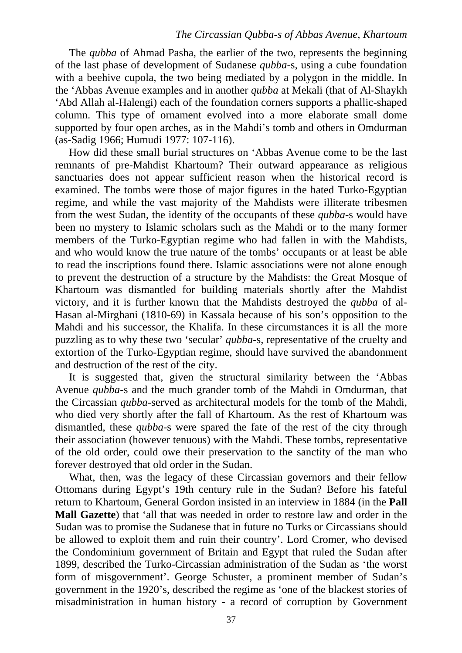The *qubba* of Ahmad Pasha, the earlier of the two, represents the beginning of the last phase of development of Sudanese *qubba*-s, using a cube foundation with a beehive cupola, the two being mediated by a polygon in the middle. In the 'Abbas Avenue examples and in another *qubba* at Mekali (that of Al-Shaykh 'Abd Allah al-Halengi) each of the foundation corners supports a phallic-shaped column. This type of ornament evolved into a more elaborate small dome supported by four open arches, as in the Mahdi's tomb and others in Omdurman (as-Sadig 1966; Humudi 1977: 107-116).

How did these small burial structures on 'Abbas Avenue come to be the last remnants of pre-Mahdist Khartoum? Their outward appearance as religious sanctuaries does not appear sufficient reason when the historical record is examined. The tombs were those of major figures in the hated Turko-Egyptian regime, and while the vast majority of the Mahdists were illiterate tribesmen from the west Sudan, the identity of the occupants of these *qubba*-s would have been no mystery to Islamic scholars such as the Mahdi or to the many former members of the Turko-Egyptian regime who had fallen in with the Mahdists, and who would know the true nature of the tombs' occupants or at least be able to read the inscriptions found there. Islamic associations were not alone enough to prevent the destruction of a structure by the Mahdists: the Great Mosque of Khartoum was dismantled for building materials shortly after the Mahdist victory, and it is further known that the Mahdists destroyed the *qubba* of al-Hasan al-Mirghani (1810-69) in Kassala because of his son's opposition to the Mahdi and his successor, the Khalifa. In these circumstances it is all the more puzzling as to why these two 'secular' *qubba*-s, representative of the cruelty and extortion of the Turko-Egyptian regime, should have survived the abandonment and destruction of the rest of the city.

It is suggested that, given the structural similarity between the 'Abbas Avenue *qubba*-s and the much grander tomb of the Mahdi in Omdurman, that the Circassian *qubba*-served as architectural models for the tomb of the Mahdi, who died very shortly after the fall of Khartoum. As the rest of Khartoum was dismantled, these *qubba*-s were spared the fate of the rest of the city through their association (however tenuous) with the Mahdi. These tombs, representative of the old order, could owe their preservation to the sanctity of the man who forever destroyed that old order in the Sudan.

What, then, was the legacy of these Circassian governors and their fellow Ottomans during Egypt's 19th century rule in the Sudan? Before his fateful return to Khartoum, General Gordon insisted in an interview in 1884 (in the **Pall Mall Gazette**) that 'all that was needed in order to restore law and order in the Sudan was to promise the Sudanese that in future no Turks or Circassians should be allowed to exploit them and ruin their country'. Lord Cromer, who devised the Condominium government of Britain and Egypt that ruled the Sudan after 1899, described the Turko-Circassian administration of the Sudan as 'the worst form of misgovernment'. George Schuster, a prominent member of Sudan's government in the 1920's, described the regime as 'one of the blackest stories of misadministration in human history - a record of corruption by Government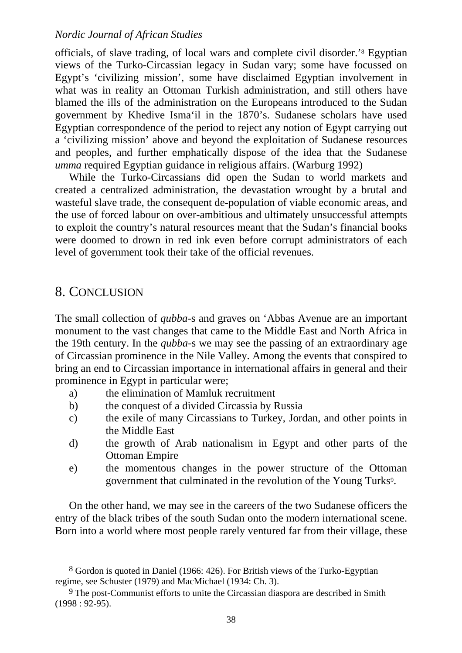officials, of slave trading, of local wars and complete civil disorder.['8](#page-10-0) Egyptian views of the Turko-Circassian legacy in Sudan vary; some have focussed on Egypt's 'civilizing mission', some have disclaimed Egyptian involvement in what was in reality an Ottoman Turkish administration, and still others have blamed the ills of the administration on the Europeans introduced to the Sudan government by Khedive Isma'il in the 1870's. Sudanese scholars have used Egyptian correspondence of the period to reject any notion of Egypt carrying out a 'civilizing mission' above and beyond the exploitation of Sudanese resources and peoples, and further emphatically dispose of the idea that the Sudanese *umma* required Egyptian guidance in religious affairs. (Warburg 1992)

While the Turko-Circassians did open the Sudan to world markets and created a centralized administration, the devastation wrought by a brutal and wasteful slave trade, the consequent de-population of viable economic areas, and the use of forced labour on over-ambitious and ultimately unsuccessful attempts to exploit the country's natural resources meant that the Sudan's financial books were doomed to drown in red ink even before corrupt administrators of each level of government took their take of the official revenues.

# 8. CONCLUSION

The small collection of *qubba*-s and graves on 'Abbas Avenue are an important monument to the vast changes that came to the Middle East and North Africa in the 19th century. In the *qubba*-s we may see the passing of an extraordinary age of Circassian prominence in the Nile Valley. Among the events that conspired to bring an end to Circassian importance in international affairs in general and their prominence in Egypt in particular were;

- a) the elimination of Mamluk recruitment
- b) the conquest of a divided Circassia by Russia
- c) the exile of many Circassians to Turkey, Jordan, and other points in the Middle East
- d) the growth of Arab nationalism in Egypt and other parts of the Ottoman Empire
- e) the momentous changes in the power structure of the Ottoman government that culminated in the revolution of the Young Turks<sup>9</sup>.

On the other hand, we may see in the careers of the two Sudanese officers the entry of the black tribes of the south Sudan onto the modern international scene. Born into a world where most people rarely ventured far from their village, these

<span id="page-10-0"></span> <sup>8</sup> Gordon is quoted in Daniel (1966: 426). For British views of the Turko-Egyptian regime, see Schuster (1979) and MacMichael (1934: Ch. 3).

<span id="page-10-1"></span><sup>9</sup> The post-Communist efforts to unite the Circassian diaspora are described in Smith (1998 : 92-95).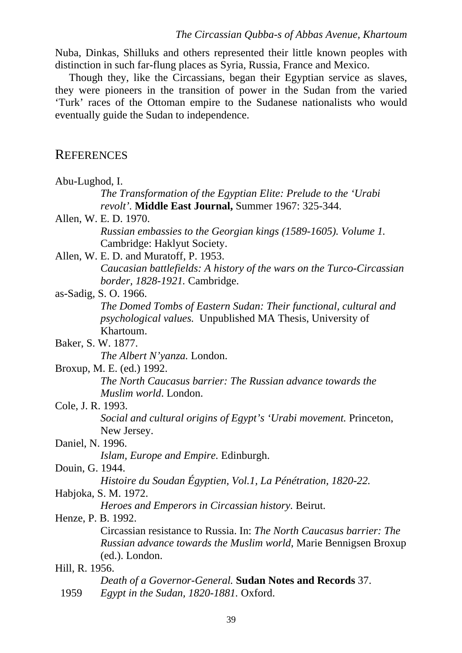Nuba, Dinkas, Shilluks and others represented their little known peoples with distinction in such far-flung places as Syria, Russia, France and Mexico.

Though they, like the Circassians, began their Egyptian service as slaves, they were pioneers in the transition of power in the Sudan from the varied 'Turk' races of the Ottoman empire to the Sudanese nationalists who would eventually guide the Sudan to independence.

### **REFERENCES**

| Abu-Lughod, I.                                                           |  |  |
|--------------------------------------------------------------------------|--|--|
| The Transformation of the Egyptian Elite: Prelude to the 'Urabi          |  |  |
| revolt'. Middle East Journal, Summer 1967: 325-344.                      |  |  |
| Allen, W. E. D. 1970.                                                    |  |  |
| Russian embassies to the Georgian kings (1589-1605). Volume 1.           |  |  |
| Cambridge: Haklyut Society.                                              |  |  |
| Allen, W. E. D. and Muratoff, P. 1953.                                   |  |  |
| Caucasian battlefields: A history of the wars on the Turco-Circassian    |  |  |
| border, 1828-1921. Cambridge.                                            |  |  |
| as-Sadig, S. O. 1966.                                                    |  |  |
| The Domed Tombs of Eastern Sudan: Their functional, cultural and         |  |  |
| <i>psychological values.</i> Unpublished MA Thesis, University of        |  |  |
| Khartoum.                                                                |  |  |
| Baker, S. W. 1877.                                                       |  |  |
| The Albert N'yanza. London.                                              |  |  |
| Broxup, M. E. (ed.) 1992.                                                |  |  |
| The North Caucasus barrier: The Russian advance towards the              |  |  |
| Muslim world. London.                                                    |  |  |
| Cole, J. R. 1993.                                                        |  |  |
| Social and cultural origins of Egypt's 'Urabi movement. Princeton,       |  |  |
| New Jersey.                                                              |  |  |
| Daniel, N. 1996.                                                         |  |  |
| Islam, Europe and Empire. Edinburgh.                                     |  |  |
| Douin, G. 1944.                                                          |  |  |
| Histoire du Soudan Égyptien, Vol.1, La Pénétration, 1820-22.             |  |  |
| Habjoka, S. M. 1972.                                                     |  |  |
| Heroes and Emperors in Circassian history. Beirut.                       |  |  |
| Henze, P. B. 1992.                                                       |  |  |
| Circassian resistance to Russia. In: The North Caucasus barrier: The     |  |  |
| <i>Russian advance towards the Muslim world</i> , Marie Bennigsen Broxup |  |  |
| (ed.). London.                                                           |  |  |
| Hill, R. 1956.                                                           |  |  |
| Death of a Governor-General. Sudan Notes and Records 37.                 |  |  |

1959 *Egypt in the Sudan, 1820-1881.* Oxford.